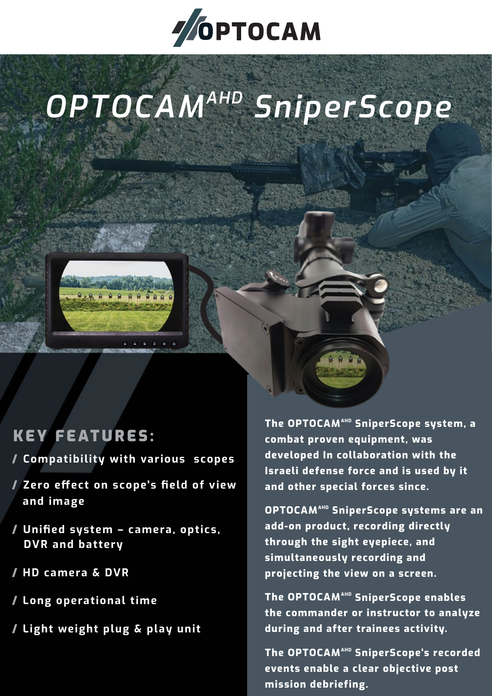

# *OPTOCAMAHD SniperScope*



### KEY FEATURES:

- / **Compatibility with various scopes**
- / **Zero effect on scope's field of view and image**
- / **Unified system camera, optics, DVR and battery**
- / **HD camera & DVR**
- / **Long operational time**
- / **Light weight plug & play unit**

**The OPTOCAMAHD SniperScope system, a combat proven equipment, was developed In collaboration with the Israeli defense force and is used by it and other special forces since.**

**OPTOCAMAHD SniperScope systems are an add-on product, recording directly through the sight eyepiece, and simultaneously recording and projecting the view on a screen.** 

**The OPTOCAMAHD SniperScope enables the commander or instructor to analyze during and after trainees activity.** 

The OPTOCAM<sup>AHD</sup> SniperScope's recorded **events enable a clear objective post mission debriefing.**